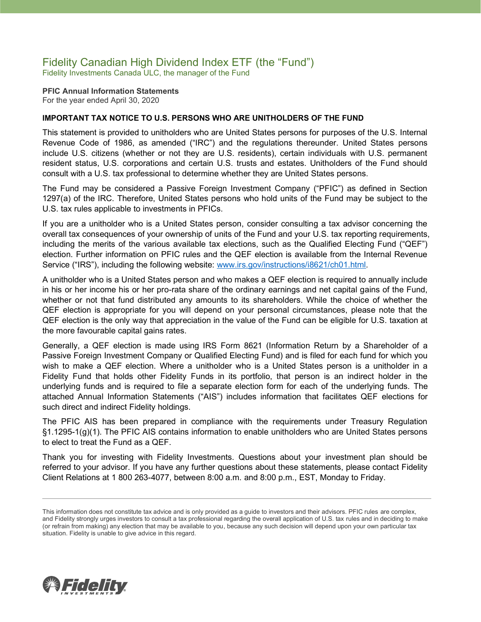# Fidelity Canadian High Dividend Index ETF (the "Fund")

Fidelity Investments Canada ULC, the manager of the Fund

**PFIC Annual Information Statements** For the year ended April 30, 2020

### **IMPORTANT TAX NOTICE TO U.S. PERSONS WHO ARE UNITHOLDERS OF THE FUND**

This statement is provided to unitholders who are United States persons for purposes of the U.S. Internal Revenue Code of 1986, as amended ("IRC") and the regulations thereunder. United States persons include U.S. citizens (whether or not they are U.S. residents), certain individuals with U.S. permanent resident status, U.S. corporations and certain U.S. trusts and estates. Unitholders of the Fund should consult with a U.S. tax professional to determine whether they are United States persons.

The Fund may be considered a Passive Foreign Investment Company ("PFIC") as defined in Section 1297(a) of the IRC. Therefore, United States persons who hold units of the Fund may be subject to the U.S. tax rules applicable to investments in PFICs.

If you are a unitholder who is a United States person, consider consulting a tax advisor concerning the overall tax consequences of your ownership of units of the Fund and your U.S. tax reporting requirements, including the merits of the various available tax elections, such as the Qualified Electing Fund ("QEF") election. Further information on PFIC rules and the QEF election is available from the Internal Revenue Service ("IRS"), including the following website: [www.irs.gov/instructions/i8621/ch01.html.](http://www.irs.gov/instructions/i8621/ch01.html)

A unitholder who is a United States person and who makes a QEF election is required to annually include in his or her income his or her pro-rata share of the ordinary earnings and net capital gains of the Fund, whether or not that fund distributed any amounts to its shareholders. While the choice of whether the QEF election is appropriate for you will depend on your personal circumstances, please note that the QEF election is the only way that appreciation in the value of the Fund can be eligible for U.S. taxation at the more favourable capital gains rates.

Generally, a QEF election is made using IRS Form 8621 (Information Return by a Shareholder of a Passive Foreign Investment Company or Qualified Electing Fund) and is filed for each fund for which you wish to make a QEF election. Where a unitholder who is a United States person is a unitholder in a Fidelity Fund that holds other Fidelity Funds in its portfolio, that person is an indirect holder in the underlying funds and is required to file a separate election form for each of the underlying funds. The attached Annual Information Statements ("AIS") includes information that facilitates QEF elections for such direct and indirect Fidelity holdings.

The PFIC AIS has been prepared in compliance with the requirements under Treasury Regulation §1.1295-1(g)(1). The PFIC AIS contains information to enable unitholders who are United States persons to elect to treat the Fund as a QEF.

Thank you for investing with Fidelity Investments. Questions about your investment plan should be referred to your advisor. If you have any further questions about these statements, please contact Fidelity Client Relations at 1 800 263-4077, between 8:00 a.m. and 8:00 p.m., EST, Monday to Friday.



This information does not constitute tax advice and is only provided as a guide to investors and their advisors. PFIC rules are complex, and Fidelity strongly urges investors to consult a tax professional regarding the overall application of U.S. tax rules and in deciding to make (or refrain from making) any election that may be available to you, because any such decision will depend upon your own particular tax situation. Fidelity is unable to give advice in this regard.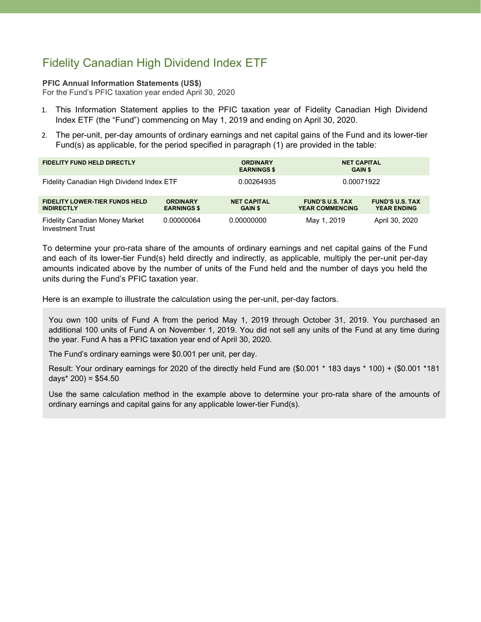## Fidelity Canadian High Dividend Index ETF

#### **PFIC Annual Information Statements (US\$)**

For the Fund's PFIC taxation year ended April 30, 2020

- 1. This Information Statement applies to the PFIC taxation year of Fidelity Canadian High Dividend Index ETF (the "Fund") commencing on May 1, 2019 and ending on April 30, 2020.
- 2. The per-unit, per-day amounts of ordinary earnings and net capital gains of the Fund and its lower-tier Fund(s) as applicable, for the period specified in paragraph (1) are provided in the table:

| <b>FIDELITY FUND HELD DIRECTLY</b>                               |                                       | <b>ORDINARY</b><br><b>EARNINGS \$</b> | <b>NET CAPITAL</b><br><b>GAIN \$</b>             |                                              |
|------------------------------------------------------------------|---------------------------------------|---------------------------------------|--------------------------------------------------|----------------------------------------------|
| Fidelity Canadian High Dividend Index ETF                        |                                       | 0.00264935                            | 0.00071922                                       |                                              |
| <b>FIDELITY LOWER-TIER FUNDS HELD</b><br><b>INDIRECTLY</b>       | <b>ORDINARY</b><br><b>EARNINGS \$</b> | <b>NET CAPITAL</b><br><b>GAIN \$</b>  | <b>FUND'S U.S. TAX</b><br><b>YEAR COMMENCING</b> | <b>FUND'S U.S. TAX</b><br><b>YEAR ENDING</b> |
| <b>Fidelity Canadian Money Market</b><br><b>Investment Trust</b> | 0.00000064                            | 0.00000000                            | May 1, 2019                                      | April 30, 2020                               |

To determine your pro-rata share of the amounts of ordinary earnings and net capital gains of the Fund and each of its lower-tier Fund(s) held directly and indirectly, as applicable, multiply the per-unit per-day amounts indicated above by the number of units of the Fund held and the number of days you held the units during the Fund's PFIC taxation year.

Here is an example to illustrate the calculation using the per-unit, per-day factors.

You own 100 units of Fund A from the period May 1, 2019 through October 31, 2019. You purchased an additional 100 units of Fund A on November 1, 2019. You did not sell any units of the Fund at any time during the year. Fund A has a PFIC taxation year end of April 30, 2020.

The Fund's ordinary earnings were \$0.001 per unit, per day.

Result: Your ordinary earnings for 2020 of the directly held Fund are (\$0.001 \* 183 days \* 100) + (\$0.001 \*181 days $*$  200) = \$54.50

Use the same calculation method in the example above to determine your pro-rata share of the amounts of ordinary earnings and capital gains for any applicable lower-tier Fund(s).